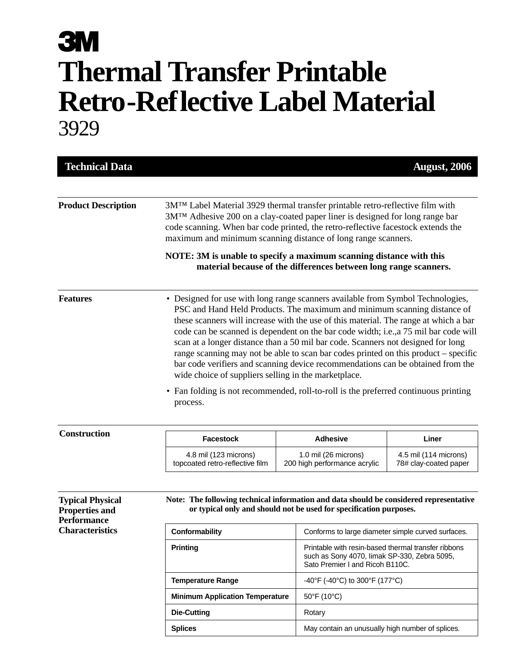## **3M Thermal Transfer Printable Retro-Reflective Label Material** 3929

| <b>Technical Data</b>                                                  |                                                                                                                                                                                                                                                                                                                                                                                                                                                                                                                                                                                                                                                                                                                                                                      |  |                                                                                                                                        | <b>August</b> , 2006                           |  |
|------------------------------------------------------------------------|----------------------------------------------------------------------------------------------------------------------------------------------------------------------------------------------------------------------------------------------------------------------------------------------------------------------------------------------------------------------------------------------------------------------------------------------------------------------------------------------------------------------------------------------------------------------------------------------------------------------------------------------------------------------------------------------------------------------------------------------------------------------|--|----------------------------------------------------------------------------------------------------------------------------------------|------------------------------------------------|--|
|                                                                        |                                                                                                                                                                                                                                                                                                                                                                                                                                                                                                                                                                                                                                                                                                                                                                      |  |                                                                                                                                        |                                                |  |
| <b>Product Description</b>                                             | 3MTM Label Material 3929 thermal transfer printable retro-reflective film with<br>3M™ Adhesive 200 on a clay-coated paper liner is designed for long range bar<br>code scanning. When bar code printed, the retro-reflective facestock extends the<br>maximum and minimum scanning distance of long range scanners.                                                                                                                                                                                                                                                                                                                                                                                                                                                  |  |                                                                                                                                        |                                                |  |
|                                                                        | NOTE: 3M is unable to specify a maximum scanning distance with this                                                                                                                                                                                                                                                                                                                                                                                                                                                                                                                                                                                                                                                                                                  |  | material because of the differences between long range scanners.                                                                       |                                                |  |
| <b>Features</b>                                                        | • Designed for use with long range scanners available from Symbol Technologies,<br>PSC and Hand Held Products. The maximum and minimum scanning distance of<br>these scanners will increase with the use of this material. The range at which a bar<br>code can be scanned is dependent on the bar code width; i.e., a 75 mil bar code will<br>scan at a longer distance than a 50 mil bar code. Scanners not designed for long<br>range scanning may not be able to scan bar codes printed on this product – specific<br>bar code verifiers and scanning device recommendations can be obtained from the<br>wide choice of suppliers selling in the marketplace.<br>• Fan folding is not recommended, roll-to-roll is the preferred continuous printing<br>process. |  |                                                                                                                                        |                                                |  |
| <b>Construction</b>                                                    | <b>Facestock</b>                                                                                                                                                                                                                                                                                                                                                                                                                                                                                                                                                                                                                                                                                                                                                     |  | <b>Adhesive</b>                                                                                                                        | Liner                                          |  |
|                                                                        | 4.8 mil (123 microns)<br>topcoated retro-reflective film                                                                                                                                                                                                                                                                                                                                                                                                                                                                                                                                                                                                                                                                                                             |  | 1.0 mil (26 microns)<br>200 high performance acrylic                                                                                   | 4.5 mil (114 microns)<br>78# clay-coated paper |  |
| <b>Typical Physical</b><br><b>Properties and</b><br><b>Performance</b> | Note: The following technical information and data should be considered representative                                                                                                                                                                                                                                                                                                                                                                                                                                                                                                                                                                                                                                                                               |  | or typical only and should not be used for specification purposes.                                                                     |                                                |  |
| <b>Characteristics</b>                                                 | Conformability                                                                                                                                                                                                                                                                                                                                                                                                                                                                                                                                                                                                                                                                                                                                                       |  | Conforms to large diameter simple curved surfaces.                                                                                     |                                                |  |
|                                                                        | <b>Printing</b>                                                                                                                                                                                                                                                                                                                                                                                                                                                                                                                                                                                                                                                                                                                                                      |  | Printable with resin-based thermal transfer ribbons<br>such as Sony 4070, limak SP-330, Zebra 5095,<br>Sato Premier I and Ricoh B110C. |                                                |  |
|                                                                        | <b>Temperature Range</b>                                                                                                                                                                                                                                                                                                                                                                                                                                                                                                                                                                                                                                                                                                                                             |  | -40°F (-40°C) to 300°F (177°C)                                                                                                         |                                                |  |
|                                                                        | <b>Minimum Application Temperature</b>                                                                                                                                                                                                                                                                                                                                                                                                                                                                                                                                                                                                                                                                                                                               |  | $50^{\circ}$ F (10 $^{\circ}$ C)                                                                                                       |                                                |  |
|                                                                        | Die-Cutting                                                                                                                                                                                                                                                                                                                                                                                                                                                                                                                                                                                                                                                                                                                                                          |  | Rotary                                                                                                                                 |                                                |  |
|                                                                        | <b>Splices</b>                                                                                                                                                                                                                                                                                                                                                                                                                                                                                                                                                                                                                                                                                                                                                       |  | May contain an unusually high number of splices.                                                                                       |                                                |  |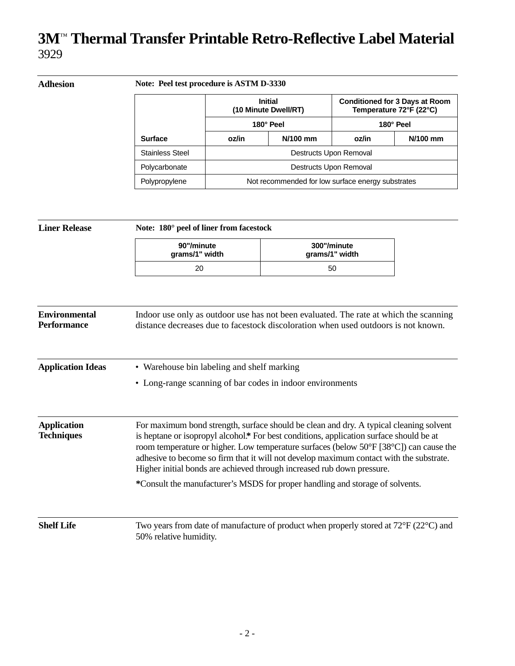## **3M**™ **Thermal Transfer Printable Retro-Reflective Label Material** 3929

| Adhesion |                        | Note: Peel test procedure is ASTM D-3330            |                                                   |                                                                               |            |  |  |
|----------|------------------------|-----------------------------------------------------|---------------------------------------------------|-------------------------------------------------------------------------------|------------|--|--|
|          |                        | <b>Initial</b><br>(10 Minute Dwell/RT)<br>180° Peel |                                                   | <b>Conditioned for 3 Days at Room</b><br>Temperature 72°F (22°C)<br>180° Peel |            |  |  |
|          |                        |                                                     |                                                   |                                                                               |            |  |  |
|          | <b>Surface</b>         | oz/in                                               | N/100 mm                                          | oz/in                                                                         | $N/100$ mm |  |  |
|          | <b>Stainless Steel</b> |                                                     | Destructs Upon Removal                            |                                                                               |            |  |  |
|          | Polycarbonate          | Destructs Upon Removal                              |                                                   |                                                                               |            |  |  |
|          | Polypropylene          |                                                     | Not recommended for low surface energy substrates |                                                                               |            |  |  |

| <b>Liner Release</b>                       | Note: 180° peel of liner from facestock                                                                                                                                                                                                                                                                                                                                                                                                                                                                                           |                               |  |  |  |
|--------------------------------------------|-----------------------------------------------------------------------------------------------------------------------------------------------------------------------------------------------------------------------------------------------------------------------------------------------------------------------------------------------------------------------------------------------------------------------------------------------------------------------------------------------------------------------------------|-------------------------------|--|--|--|
|                                            | 90"/minute<br>grams/1" width                                                                                                                                                                                                                                                                                                                                                                                                                                                                                                      | 300"/minute<br>grams/1" width |  |  |  |
|                                            | 20                                                                                                                                                                                                                                                                                                                                                                                                                                                                                                                                | 50                            |  |  |  |
| <b>Environmental</b><br><b>Performance</b> | Indoor use only as outdoor use has not been evaluated. The rate at which the scanning<br>distance decreases due to facestock discoloration when used outdoors is not known.                                                                                                                                                                                                                                                                                                                                                       |                               |  |  |  |
| <b>Application Ideas</b>                   | • Warehouse bin labeling and shelf marking<br>• Long-range scanning of bar codes in indoor environments                                                                                                                                                                                                                                                                                                                                                                                                                           |                               |  |  |  |
| <b>Application</b><br><b>Techniques</b>    | For maximum bond strength, surface should be clean and dry. A typical cleaning solvent<br>is heptane or isopropyl alcohol.* For best conditions, application surface should be at<br>room temperature or higher. Low temperature surfaces (below 50°F [38°C]) can cause the<br>adhesive to become so firm that it will not develop maximum contact with the substrate.<br>Higher initial bonds are achieved through increased rub down pressure.<br>*Consult the manufacturer's MSDS for proper handling and storage of solvents. |                               |  |  |  |
| <b>Shelf Life</b>                          | Two years from date of manufacture of product when properly stored at $72^{\circ}F(22^{\circ}C)$ and<br>50% relative humidity.                                                                                                                                                                                                                                                                                                                                                                                                    |                               |  |  |  |